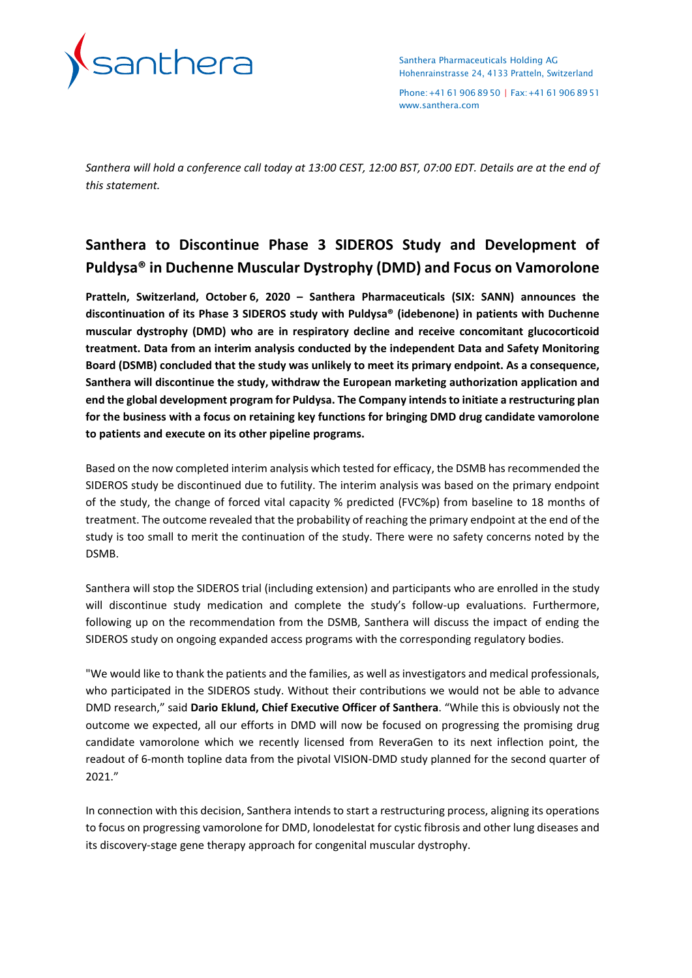

Santhera Pharmaceuticals Holding AG Hohenrainstrasse 24, 4133 Pratteln, Switzerland

Phone:+41619068950 | Fax:+41619068951 [www.santhera.com](http://www.santhera.com/)

*Santhera will hold a conference call today at 13:00 CEST, 12:00 BST, 07:00 EDT. Details are at the end of this statement.*

# **Santhera to Discontinue Phase 3 SIDEROS Study and Development of Puldysa® in Duchenne Muscular Dystrophy (DMD) and Focus on Vamorolone**

**Pratteln, Switzerland, October 6, 2020 – Santhera Pharmaceuticals (SIX: SANN) announces the discontinuation of its Phase 3 SIDEROS study with Puldysa® (idebenone) in patients with Duchenne muscular dystrophy (DMD) who are in respiratory decline and receive concomitant glucocorticoid treatment. Data from an interim analysis conducted by the independent Data and Safety Monitoring Board (DSMB) concluded that the study was unlikely to meet its primary endpoint. As a consequence, Santhera will discontinue the study, withdraw the European marketing authorization application and end the global development program for Puldysa. The Company intends to initiate a restructuring plan for the business with a focus on retaining key functions for bringing DMD drug candidate vamorolone to patients and execute on its other pipeline programs.**

Based on the now completed interim analysis which tested for efficacy, the DSMB has recommended the SIDEROS study be discontinued due to futility. The interim analysis was based on the primary endpoint of the study, the change of forced vital capacity % predicted (FVC%p) from baseline to 18 months of treatment. The outcome revealed that the probability of reaching the primary endpoint at the end of the study is too small to merit the continuation of the study. There were no safety concerns noted by the DSMB.

Santhera will stop the SIDEROS trial (including extension) and participants who are enrolled in the study will discontinue study medication and complete the study's follow-up evaluations. Furthermore, following up on the recommendation from the DSMB, Santhera will discuss the impact of ending the SIDEROS study on ongoing expanded access programs with the corresponding regulatory bodies.

"We would like to thank the patients and the families, as well as investigators and medical professionals, who participated in the SIDEROS study. Without their contributions we would not be able to advance DMD research," said **Dario Eklund, Chief Executive Officer of Santhera**. "While this is obviously not the outcome we expected, all our efforts in DMD will now be focused on progressing the promising drug candidate vamorolone which we recently licensed from ReveraGen to its next inflection point, the readout of 6-month topline data from the pivotal VISION-DMD study planned for the second quarter of 2021."

In connection with this decision, Santhera intends to start a restructuring process, aligning its operations to focus on progressing vamorolone for DMD, lonodelestat for cystic fibrosis and other lung diseases and its discovery-stage gene therapy approach for congenital muscular dystrophy.